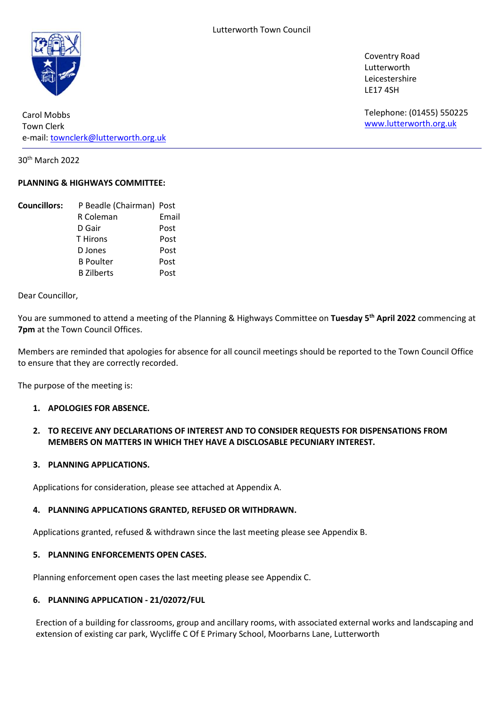

Carol Mobbs Town Clerk e-mail: townclerk@lutterworth.org.uk

30th March 2022

# PLANNING & HIGHWAYS COMMITTEE:

| <b>Councillors:</b> | P Beadle (Chairman) Post |       |
|---------------------|--------------------------|-------|
|                     | R Coleman                | Email |
|                     | D Gair                   | Post  |
|                     | <b>T</b> Hirons          | Post  |
|                     | D Jones                  | Post  |
|                     | <b>B</b> Poulter         | Post  |
|                     | <b>B</b> Zilberts        | Post  |

Dear Councillor,

You are summoned to attend a meeting of the Planning & Highways Committee on Tuesday 5<sup>th</sup> April 2022 commencing at 7pm at the Town Council Offices.

Members are reminded that apologies for absence for all council meetings should be reported to the Town Council Office to ensure that they are correctly recorded.

The purpose of the meeting is:

#### 1. APOLOGIES FOR ABSENCE.

# 2. TO RECEIVE ANY DECLARATIONS OF INTEREST AND TO CONSIDER REQUESTS FOR DISPENSATIONS FROM MEMBERS ON MATTERS IN WHICH THEY HAVE A DISCLOSABLE PECUNIARY INTEREST.

#### 3. PLANNING APPLICATIONS.

Applications for consideration, please see attached at Appendix A.

#### 4. PLANNING APPLICATIONS GRANTED, REFUSED OR WITHDRAWN.

Applications granted, refused & withdrawn since the last meeting please see Appendix B.

#### 5. PLANNING ENFORCEMENTS OPEN CASES.

Planning enforcement open cases the last meeting please see Appendix C.

#### 6. PLANNING APPLICATION - 21/02072/FUL

Erection of a building for classrooms, group and ancillary rooms, with associated external works and landscaping and extension of existing car park, Wycliffe C Of E Primary School, Moorbarns Lane, Lutterworth

Coventry Road Lutterworth Leicestershire LE17 4SH

Telephone: (01455) 550225 www.lutterworth.org.uk